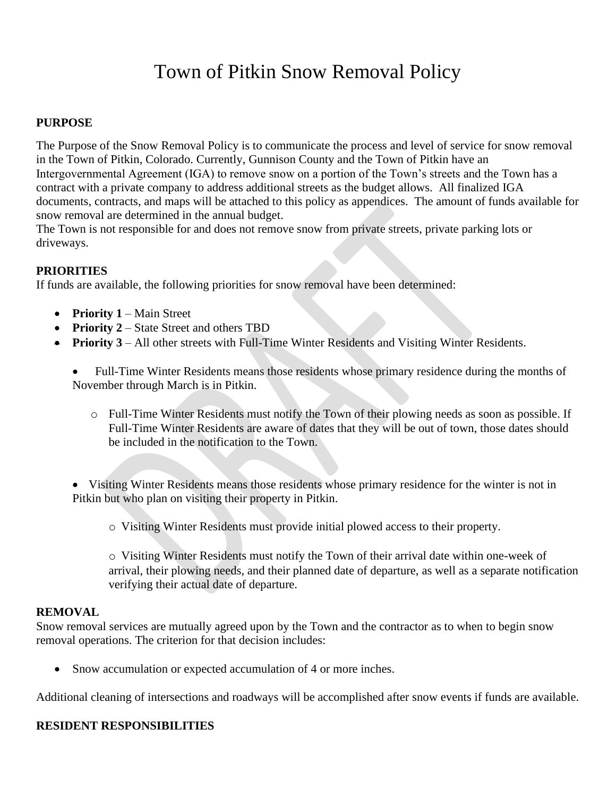# Town of Pitkin Snow Removal Policy

#### **PURPOSE**

The Purpose of the Snow Removal Policy is to communicate the process and level of service for snow removal in the Town of Pitkin, Colorado. Currently, Gunnison County and the Town of Pitkin have an Intergovernmental Agreement (IGA) to remove snow on a portion of the Town's streets and the Town has a contract with a private company to address additional streets as the budget allows. All finalized IGA documents, contracts, and maps will be attached to this policy as appendices. The amount of funds available for snow removal are determined in the annual budget.

The Town is not responsible for and does not remove snow from private streets, private parking lots or driveways.

### **PRIORITIES**

If funds are available, the following priorities for snow removal have been determined:

- **Priority 1** Main Street
- **Priority 2** State Street and others TBD
- **Priority 3** All other streets with Full-Time Winter Residents and Visiting Winter Residents.

• Full-Time Winter Residents means those residents whose primary residence during the months of November through March is in Pitkin.

o Full-Time Winter Residents must notify the Town of their plowing needs as soon as possible. If Full-Time Winter Residents are aware of dates that they will be out of town, those dates should be included in the notification to the Town.

• Visiting Winter Residents means those residents whose primary residence for the winter is not in Pitkin but who plan on visiting their property in Pitkin.

o Visiting Winter Residents must provide initial plowed access to their property.

o Visiting Winter Residents must notify the Town of their arrival date within one-week of arrival, their plowing needs, and their planned date of departure, as well as a separate notification verifying their actual date of departure.

#### **REMOVAL**

Snow removal services are mutually agreed upon by the Town and the contractor as to when to begin snow removal operations. The criterion for that decision includes:

• Snow accumulation or expected accumulation of 4 or more inches.

Additional cleaning of intersections and roadways will be accomplished after snow events if funds are available.

## **RESIDENT RESPONSIBILITIES**